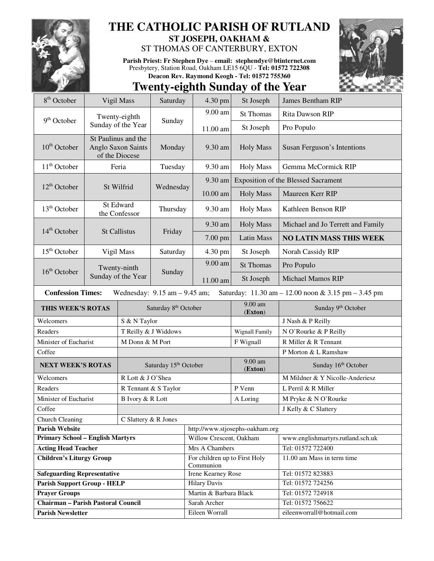

## **THE CATHOLIC PARISH OF RUTLAND**

**ST JOSEPH, OAKHAM &**  ST THOMAS OF CANTERBURY, EXTON

**Parish Priest: Fr Stephen Dye** – **email: stephendye@btinternet.com** Presbytery, Station Road, Oakham LE15 6QU - **Tel: 01572 722308 Deacon Rev. Raymond Keogh - Tel: 01572 755360** 



## **Twenty-eighth Sunday of the Year**

| 8 <sup>th</sup> October                                                                                                                                 | Vigil Mass                                                     |                       | Saturday                         | 4.30 pm                                    | St Joseph                                  | <b>James Bentham RIP</b>          |  |  |
|---------------------------------------------------------------------------------------------------------------------------------------------------------|----------------------------------------------------------------|-----------------------|----------------------------------|--------------------------------------------|--------------------------------------------|-----------------------------------|--|--|
|                                                                                                                                                         | Twenty-eighth<br>9 <sup>th</sup> October<br>Sunday of the Year |                       | Sunday                           | 9.00 am                                    | <b>St Thomas</b>                           | <b>Rita Dawson RIP</b>            |  |  |
|                                                                                                                                                         |                                                                |                       |                                  | 11.00 am                                   | St Joseph                                  | Pro Populo                        |  |  |
| $10th$ October                                                                                                                                          | St Paulinus and the<br>Anglo Saxon Saints<br>of the Diocese    |                       | Monday                           | 9.30 am                                    | <b>Holy Mass</b>                           | Susan Ferguson's Intentions       |  |  |
| $11th$ October                                                                                                                                          | Feria                                                          |                       | Tuesday                          | 9.30 am                                    | <b>Holy Mass</b>                           | Gemma McCormick RIP               |  |  |
|                                                                                                                                                         | St Wilfrid                                                     |                       | Wednesday                        | 9.30 am                                    | <b>Exposition of the Blessed Sacrament</b> |                                   |  |  |
| $12th$ October                                                                                                                                          |                                                                |                       |                                  | 10.00 am                                   | <b>Holy Mass</b>                           | Maureen Kerr RIP                  |  |  |
| 13 <sup>th</sup> October                                                                                                                                | St Edward<br>the Confessor                                     |                       | Thursday                         | 9.30 am                                    | <b>Holy Mass</b>                           | Kathleen Benson RIP               |  |  |
| $14th$ October                                                                                                                                          | <b>St Callistus</b>                                            |                       | Friday                           | 9.30 am                                    | <b>Holy Mass</b>                           | Michael and Jo Terrett and Family |  |  |
|                                                                                                                                                         |                                                                |                       |                                  | 7.00 pm                                    | Latin Mass                                 | <b>NO LATIN MASS THIS WEEK</b>    |  |  |
| 15 <sup>th</sup> October                                                                                                                                | Vigil Mass                                                     |                       | Saturday                         | 4.30 pm                                    | St Joseph                                  | Norah Cassidy RIP                 |  |  |
|                                                                                                                                                         | Twenty-ninth<br>Sunday of the Year                             |                       | Sunday                           | 9.00 am                                    | <b>St Thomas</b>                           | Pro Populo                        |  |  |
| $16th$ October                                                                                                                                          |                                                                |                       |                                  | 11.00 am                                   | St Joseph                                  | <b>Michael Mamos RIP</b>          |  |  |
| <b>Confession Times:</b><br>Wednesday: $9.15$ am $- 9.45$ am;<br>Saturday: $11.30 \text{ am} - 12.00 \text{ noon} \& 3.15 \text{ pm} - 3.45 \text{ pm}$ |                                                                |                       |                                  |                                            |                                            |                                   |  |  |
| THIS WEEK'S ROTAS                                                                                                                                       |                                                                |                       | Saturday 8 <sup>th</sup> October |                                            | $9.00$ am<br>(Exton)                       | Sunday 9th October                |  |  |
| S & N Taylor<br>Welcomers                                                                                                                               |                                                                |                       |                                  |                                            |                                            | J Nash & P Reilly                 |  |  |
| Readers                                                                                                                                                 |                                                                | T Reilly & J Widdows  |                                  |                                            | <b>Wignall Family</b>                      | N O'Rourke & P Reilly             |  |  |
| Minister of Eucharist                                                                                                                                   |                                                                | M Donn & M Port       |                                  |                                            | F Wignall                                  | R Miller & R Tennant              |  |  |
| Coffee                                                                                                                                                  |                                                                |                       |                                  |                                            |                                            | P Morton & L Ramshaw              |  |  |
| <b>NEXT WEEK'S ROTAS</b>                                                                                                                                |                                                                | Saturday 15th October |                                  |                                            | 9.00 am<br>(Exton)                         | Sunday 16th October               |  |  |
| Welcomers                                                                                                                                               |                                                                | R Lott & J O'Shea     |                                  |                                            |                                            | M Mildner & Y Nicolle-Anderiesz   |  |  |
| Readers                                                                                                                                                 |                                                                | R Tennant & S Taylor  |                                  |                                            | P Venn                                     | L Perril & R Miller               |  |  |
| Minister of Eucharist<br>B Ivory & R Lott                                                                                                               |                                                                |                       |                                  |                                            | A Loring                                   | M Pryke & N O'Rourke              |  |  |
| Coffee                                                                                                                                                  |                                                                |                       |                                  |                                            |                                            | J Kelly & C Slattery              |  |  |
| <b>Church Cleaning</b><br>C Slattery & R Jones                                                                                                          |                                                                |                       |                                  |                                            |                                            |                                   |  |  |
| <b>Parish Website</b>                                                                                                                                   |                                                                |                       |                                  | http://www.stjosephs-oakham.org            |                                            |                                   |  |  |
| <b>Primary School - English Martyrs</b>                                                                                                                 |                                                                |                       |                                  | Willow Crescent, Oakham                    |                                            | www.englishmartyrs.rutland.sch.uk |  |  |
| <b>Acting Head Teacher</b>                                                                                                                              |                                                                |                       |                                  | Mrs A Chambers                             |                                            | Tel: 01572 722400                 |  |  |
| <b>Children's Liturgy Group</b>                                                                                                                         |                                                                |                       |                                  | For children up to First Holy<br>Communion |                                            | 11.00 am Mass in term time        |  |  |
| <b>Safeguarding Representative</b>                                                                                                                      |                                                                |                       |                                  | Irene Kearney Rose                         |                                            | Tel: 01572 823883                 |  |  |
| <b>Parish Support Group - HELP</b>                                                                                                                      |                                                                |                       |                                  | <b>Hilary Davis</b>                        |                                            | Tel: 01572 724256                 |  |  |
| <b>Prayer Groups</b>                                                                                                                                    |                                                                |                       |                                  | Martin & Barbara Black                     |                                            | Tel: 01572 724918                 |  |  |
| <b>Chairman - Parish Pastoral Council</b>                                                                                                               |                                                                |                       |                                  | Sarah Archer                               |                                            | Tel: 01572 756622                 |  |  |
| <b>Parish Newsletter</b>                                                                                                                                |                                                                |                       |                                  | Eileen Worrall                             |                                            | eileenworrall@hotmail.com         |  |  |